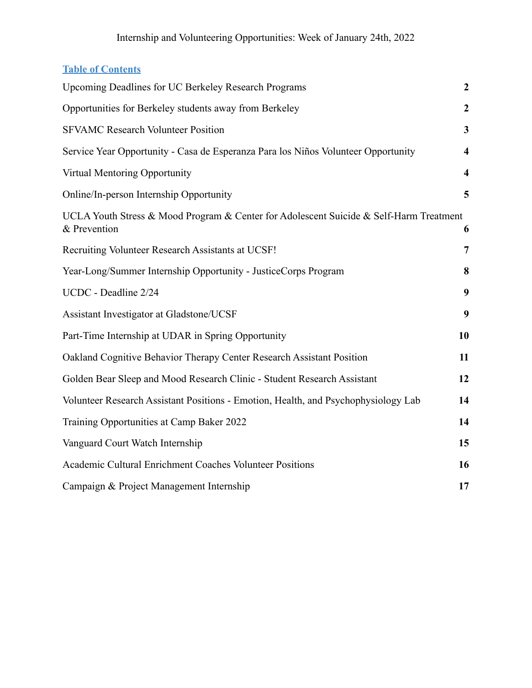### **Table of Contents**

| Upcoming Deadlines for UC Berkeley Research Programs                                                   | $\boldsymbol{2}$        |
|--------------------------------------------------------------------------------------------------------|-------------------------|
| Opportunities for Berkeley students away from Berkeley                                                 | $\boldsymbol{2}$        |
| <b>SFVAMC Research Volunteer Position</b>                                                              | $\mathbf{3}$            |
| Service Year Opportunity - Casa de Esperanza Para los Niños Volunteer Opportunity                      | $\overline{\mathbf{4}}$ |
| Virtual Mentoring Opportunity                                                                          | $\overline{\mathbf{4}}$ |
| Online/In-person Internship Opportunity                                                                | 5                       |
| UCLA Youth Stress & Mood Program & Center for Adolescent Suicide & Self-Harm Treatment<br>& Prevention | 6                       |
| Recruiting Volunteer Research Assistants at UCSF!                                                      | $\overline{7}$          |
| Year-Long/Summer Internship Opportunity - JusticeCorps Program                                         | 8                       |
| UCDC - Deadline 2/24                                                                                   | 9                       |
| Assistant Investigator at Gladstone/UCSF                                                               | 9                       |
| Part-Time Internship at UDAR in Spring Opportunity                                                     | 10                      |
| Oakland Cognitive Behavior Therapy Center Research Assistant Position                                  | 11                      |
| Golden Bear Sleep and Mood Research Clinic - Student Research Assistant                                | 12                      |
| Volunteer Research Assistant Positions - Emotion, Health, and Psychophysiology Lab                     | 14                      |
| Training Opportunities at Camp Baker 2022                                                              | 14                      |
| Vanguard Court Watch Internship                                                                        | 15                      |
| Academic Cultural Enrichment Coaches Volunteer Positions                                               | 16                      |
| Campaign & Project Management Internship                                                               | 17                      |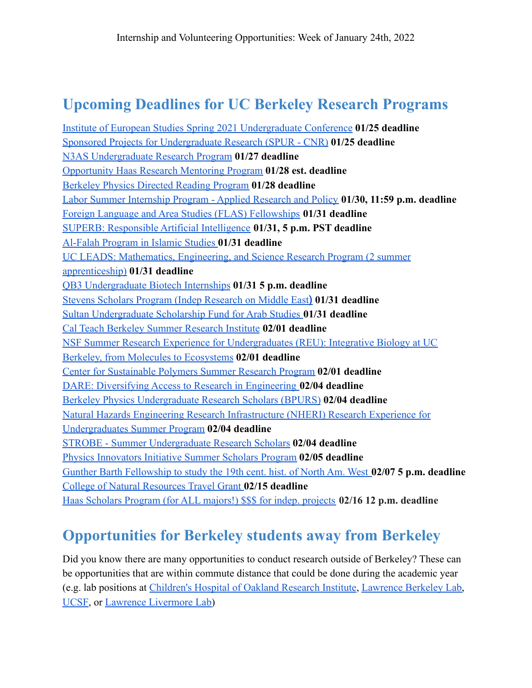### <span id="page-1-0"></span>**Upcoming Deadlines for UC Berkeley Research Programs**

[Institute of European Studies Spring 2021 Undergraduate Conference](https://ies.berkeley.edu/spring-2021-ug-conf) **01/25 deadline** [Sponsored Projects for Undergraduate Research \(SPUR - CNR\)](https://nature.berkeley.edu/undergraduate-research/spur/) **01/25 deadline** [N3AS Undergraduate Research Program](https://n3as.berkeley.edu/collaboration/students/undergraduate/) **01/27 deadline** [Opportunity Haas Research Mentoring Program](https://www.olab.berkeley.edu/sloan-fall-2021) **01/28 est. deadline** [Berkeley Physics Directed Reading Program](https://berkeleyphysicsdrp.wixsite.com/physicsberkeleydrp#:~:text=The%20Berkeley%20Physics%20Directed%20Reading,graduate%20student%20in%20the%20depart%E2%80%A6) **01/28 deadline** [Labor Summer Internship Program - Applied Research and Policy](http://laborcenter.berkeley.edu/labor-summer/) **01/30, 11:59 p.m. deadline** [Foreign Language and Area Studies \(FLAS\) Fellowships](https://southasia.berkeley.edu/flas-fellowships) **01/31 deadline** [SUPERB: Responsible Artificial Intelligence](http://www.eecs.berkeley.edu/Programs/ugrad/superb/superb.html) **01/31, 5 p.m. PST deadline** [Al-Falah Program in Islamic Studies](https://cmes.berkeley.edu/grant/al-falah-program-islamic-studies) **01/31 deadline** [UC LEADS: Mathematics, Engineering, and Science Research Program \(2 summer](http://calnerds.berkeley.edu/programs/uc-leads) [apprenticeship\)](http://calnerds.berkeley.edu/programs/uc-leads) **01/31 deadline** [QB3 Undergraduate Biotech Internships](http://qb3.berkeley.edu/intern/) **01/31 5 p.m. deadline** [Stevens Scholars Program \(Indep Research on Middle East](https://cmes.berkeley.edu/stevens/program-middle-eastern-studies)**) 01/31 deadline** [Sultan Undergraduate Scholarship Fund for Arab Studies](https://cmes.berkeley.edu/grant/sultan-program-arab-studies) **01/31 deadline** [Cal Teach Berkeley Summer Research Institute](https://calteach.berkeley.edu/scholarships-opportunities/summer-research-institute) **02/01 deadline** [NSF Summer Research Experience for Undergraduates \(REU\): Integrative Biology at UC](http://mcb.berkeley.edu/nsfreu) [Berkeley, from Molecules to Ecosystems](http://mcb.berkeley.edu/nsfreu) **02/01 deadline** [Center for Sustainable Polymers Summer Research Program](https://csp.umn.edu/summer-undergraduate-research-program/) **02/01 deadline** [DARE: Diversifying Access to Research in Engineering](http://dare.berkeley.edu/) **02/04 deadline** [Berkeley Physics Undergraduate Research Scholars \(BPURS\)](https://physics.berkeley.edu/academics/undergraduate-degree/research-opportunities#BPURS) **02/04 deadline** [Natural Hazards Engineering Research Infrastructure \(NHERI\) Research Experience for](https://www.designsafe-ci.org/learning-center/reu/#program) [Undergraduates Summer Program](https://www.designsafe-ci.org/learning-center/reu/#program) **02/04 deadline** [STROBE - Summer Undergraduate Research Scholars](https://strobe.colorado.edu/education-outreach/undergraduate/surs/) **02/04 deadline** [Physics Innovators Initiative Summer Scholars Program](https://physics.berkeley.edu/physics-innovators-initiative-2021-summer-scholars-program) **02/05 deadline** [Gunther Barth Fellowship to study the 19th cent. hist. of North Am. West](http://www.lib.berkeley.edu/libraries/bancroft-library/gunther-barth-fellowships) **02/07 5 p.m. deadline** [College of Natural Resources Travel Grant](https://nature.berkeley.edu/undergraduate-research/travel-grants/application) **02/15 deadline** [Haas Scholars Program \(for ALL majors!\) \\$\\$\\$ for indep. projects](http://hsp.berkeley.edu/apply-now) **02/16 12 p.m. deadline**

### <span id="page-1-1"></span>**Opportunities for Berkeley students away from Berkeley**

Did you know there are many opportunities to conduct research outside of Berkeley? These can be opportunities that are within commute distance that could be done during the academic year (e.g. lab positions at [Children's Hospital of Oakland](http://www.chori.org/drupal1/) Research Institute, [Lawrence Berkeley Lab,](https://www.lbl.gov/) [UCSF](https://www.ucsf.edu/), or [Lawrence Livermore Lab\)](https://www.llnl.gov/)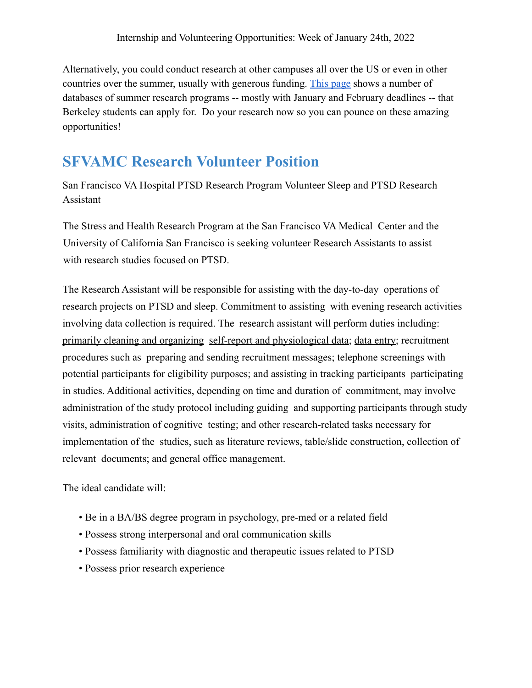Alternatively, you could conduct research at other campuses all over the US or even in other countries over the summer, usually with generous funding. [This page](https://research.berkeley.edu/opportunities/B) shows a number of databases of summer research programs -- mostly with January and February deadlines -- that Berkeley students can apply for. Do your research now so you can pounce on these amazing opportunities!

### <span id="page-2-0"></span>**SFVAMC Research Volunteer Position**

San Francisco VA Hospital PTSD Research Program Volunteer Sleep and PTSD Research Assistant

The Stress and Health Research Program at the San Francisco VA Medical Center and the University of California San Francisco is seeking volunteer Research Assistants to assist with research studies focused on PTSD.

The Research Assistant will be responsible for assisting with the day-to-day operations of research projects on PTSD and sleep. Commitment to assisting with evening research activities involving data collection is required. The research assistant will perform duties including: primarily cleaning and organizing self-report and physiological data; data entry; recruitment procedures such as preparing and sending recruitment messages; telephone screenings with potential participants for eligibility purposes; and assisting in tracking participants participating in studies. Additional activities, depending on time and duration of commitment, may involve administration of the study protocol including guiding and supporting participants through study visits, administration of cognitive testing; and other research-related tasks necessary for implementation of the studies, such as literature reviews, table/slide construction, collection of relevant documents; and general office management.

The ideal candidate will:

- Be in a BA/BS degree program in psychology, pre-med or a related field
- Possess strong interpersonal and oral communication skills
- Possess familiarity with diagnostic and therapeutic issues related to PTSD
- Possess prior research experience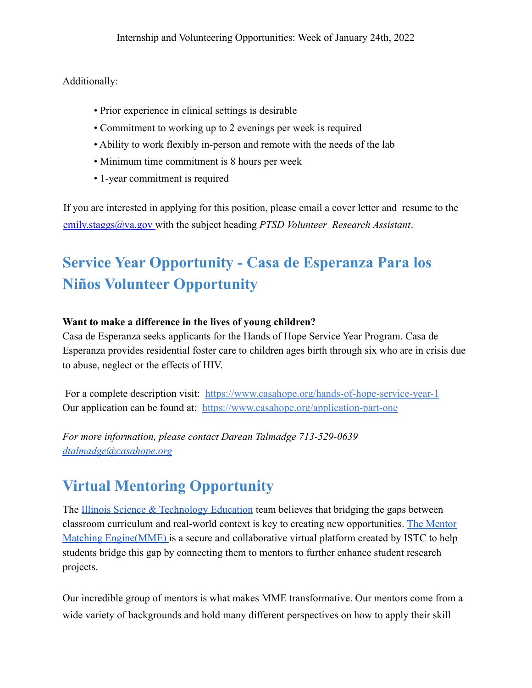Additionally:

- Prior experience in clinical settings is desirable
- Commitment to working up to 2 evenings per week is required
- Ability to work flexibly in-person and remote with the needs of the lab
- Minimum time commitment is 8 hours per week
- 1-year commitment is required

If you are interested in applying for this position, please email a cover letter and resume to the emily.staggs@va.gov with the subject heading *PTSD Volunteer Research Assistant*.

# <span id="page-3-0"></span>**Service Year Opportunity - Casa de Esperanza Para los Niños Volunteer Opportunity**

### **Want to make a difference in the lives of young children?**

Casa de Esperanza seeks applicants for the Hands of Hope Service Year Program. Casa de Esperanza provides residential foster care to children ages birth through six who are in crisis due to abuse, neglect or the effects of HIV.

For a complete description visit: <https://www.casahope.org/hands-of-hope-service-year-1> Our application can be found at: <https://www.casahope.org/application-part-one>

*For more information, please contact Darean Talmadge 713-529-0639 [dtalmadge@casahope.org](mailto:dtalmadge@casahope.org)*

# <span id="page-3-1"></span>**Virtual Mentoring Opportunity**

The [Illinois Science & Technology Education](https://www.istcoalition.org/education/) team believes that bridging the gaps between classroom curriculum and real-world context is key to creating new opportunities. [The Mentor](https://www.youtube.com/watch?v=aJMSpLEbCmg) [Matching Engine\(MME\)](https://www.youtube.com/watch?v=aJMSpLEbCmg) is a secure and collaborative virtual platform created by ISTC to help students bridge this gap by connecting them to mentors to further enhance student research projects.

Our incredible group of mentors is what makes MME transformative. Our mentors come from a wide variety of backgrounds and hold many different perspectives on how to apply their skill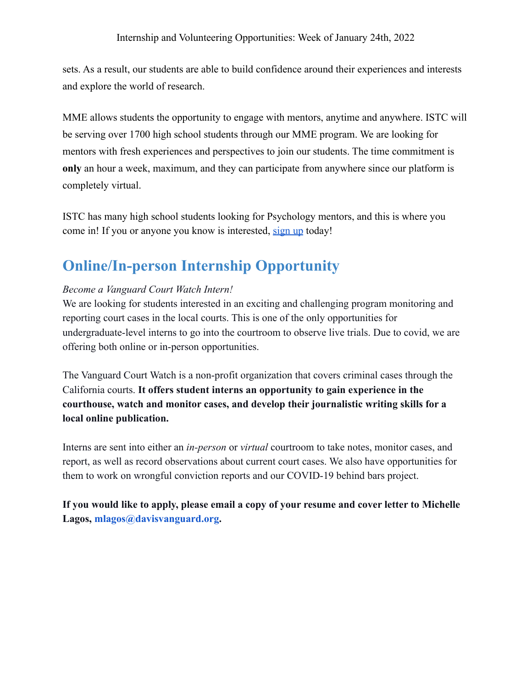sets. As a result, our students are able to build confidence around their experiences and interests and explore the world of research.

MME allows students the opportunity to engage with mentors, anytime and anywhere. ISTC will be serving over 1700 high school students through our MME program. We are looking for mentors with fresh experiences and perspectives to join our students. The time commitment is **only** an hour a week, maximum, and they can participate from anywhere since our platform is completely virtual.

ISTC has many high school students looking for Psychology mentors, and this is where you come in! If you or anyone you know is interested, [sign up](https://istc1.typeform.com/to/dfb1Ts) today!

# <span id="page-4-0"></span>**Online/In-person Internship Opportunity**

### *Become a Vanguard Court Watch Intern!*

We are looking for students interested in an exciting and challenging program monitoring and reporting court cases in the local courts. This is one of the only opportunities for undergraduate-level interns to go into the courtroom to observe live trials. Due to covid, we are offering both online or in-person opportunities.

The Vanguard Court Watch is a non-profit organization that covers criminal cases through the California courts. **It offers student interns an opportunity to gain experience in the courthouse, watch and monitor cases, and develop their journalistic writing skills for a local online publication.**

Interns are sent into either an *in-person* or *virtual* courtroom to take notes, monitor cases, and report, as well as record observations about current court cases. We also have opportunities for them to work on wrongful conviction reports and our COVID-19 behind bars project.

**If you would like to apply, please email a copy of your resume and cover letter to Michelle Lagos, mlagos@davisvanguard.org.**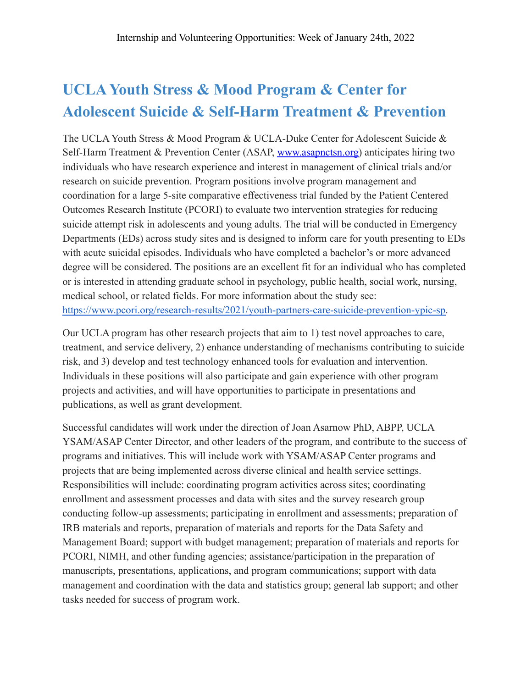# <span id="page-5-0"></span>**UCLA Youth Stress & Mood Program & Center for Adolescent Suicide & Self-Harm Treatment & Prevention**

The UCLA Youth Stress & Mood Program & UCLA-Duke Center for Adolescent Suicide & Self-Harm Treatment & Prevention Center (ASAP, [www.asapnctsn.org\)](http://www.asapnctsn.org/) anticipates hiring two individuals who have research experience and interest in management of clinical trials and/or research on suicide prevention. Program positions involve program management and coordination for a large 5-site comparative effectiveness trial funded by the Patient Centered Outcomes Research Institute (PCORI) to evaluate two intervention strategies for reducing suicide attempt risk in adolescents and young adults. The trial will be conducted in Emergency Departments (EDs) across study sites and is designed to inform care for youth presenting to EDs with acute suicidal episodes. Individuals who have completed a bachelor's or more advanced degree will be considered. The positions are an excellent fit for an individual who has completed or is interested in attending graduate school in psychology, public health, social work, nursing, medical school, or related fields. For more information about the study see: [https://www.pcori.org/research-results/2021/youth-partners-care-suicide-prevention-ypic-sp.](https://www.pcori.org/research-results/2021/youth-partners-care-suicide-prevention-ypic-sp)

Our UCLA program has other research projects that aim to 1) test novel approaches to care, treatment, and service delivery, 2) enhance understanding of mechanisms contributing to suicide risk, and 3) develop and test technology enhanced tools for evaluation and intervention. Individuals in these positions will also participate and gain experience with other program projects and activities, and will have opportunities to participate in presentations and publications, as well as grant development.

Successful candidates will work under the direction of Joan Asarnow PhD, ABPP, UCLA YSAM/ASAP Center Director, and other leaders of the program, and contribute to the success of programs and initiatives. This will include work with YSAM/ASAP Center programs and projects that are being implemented across diverse clinical and health service settings. Responsibilities will include: coordinating program activities across sites; coordinating enrollment and assessment processes and data with sites and the survey research group conducting follow-up assessments; participating in enrollment and assessments; preparation of IRB materials and reports, preparation of materials and reports for the Data Safety and Management Board; support with budget management; preparation of materials and reports for PCORI, NIMH, and other funding agencies; assistance/participation in the preparation of manuscripts, presentations, applications, and program communications; support with data management and coordination with the data and statistics group; general lab support; and other tasks needed for success of program work.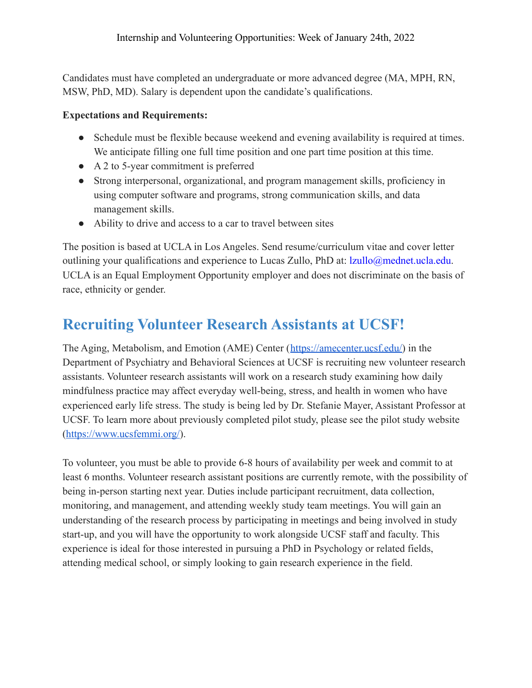Candidates must have completed an undergraduate or more advanced degree (MA, MPH, RN, MSW, PhD, MD). Salary is dependent upon the candidate's qualifications.

### **Expectations and Requirements:**

- Schedule must be flexible because weekend and evening availability is required at times. We anticipate filling one full time position and one part time position at this time.
- A 2 to 5-year commitment is preferred
- Strong interpersonal, organizational, and program management skills, proficiency in using computer software and programs, strong communication skills, and data management skills.
- Ability to drive and access to a car to travel between sites

The position is based at UCLA in Los Angeles. Send resume/curriculum vitae and cover letter outlining your qualifications and experience to Lucas Zullo, PhD at: lzullo@mednet.ucla.edu. UCLA is an Equal Employment Opportunity employer and does not discriminate on the basis of race, ethnicity or gender.

# <span id="page-6-0"></span>**Recruiting Volunteer Research Assistants at UCSF!**

The Aging, Metabolism, and Emotion (AME) Center ([https://amecenter.ucsf.edu/\)](https://amecenter.ucsf.edu/) in the Department of Psychiatry and Behavioral Sciences at UCSF is recruiting new volunteer research assistants. Volunteer research assistants will work on a research study examining how daily mindfulness practice may affect everyday well-being, stress, and health in women who have experienced early life stress. The study is being led by Dr. Stefanie Mayer, Assistant Professor at UCSF. To learn more about previously completed pilot study, please see the pilot study website ([https://www.ucsfemmi.org/\)](https://www.ucsfemmi.org/).

To volunteer, you must be able to provide 6-8 hours of availability per week and commit to at least 6 months. Volunteer research assistant positions are currently remote, with the possibility of being in-person starting next year. Duties include participant recruitment, data collection, monitoring, and management, and attending weekly study team meetings. You will gain an understanding of the research process by participating in meetings and being involved in study start-up, and you will have the opportunity to work alongside UCSF staff and faculty. This experience is ideal for those interested in pursuing a PhD in Psychology or related fields, attending medical school, or simply looking to gain research experience in the field.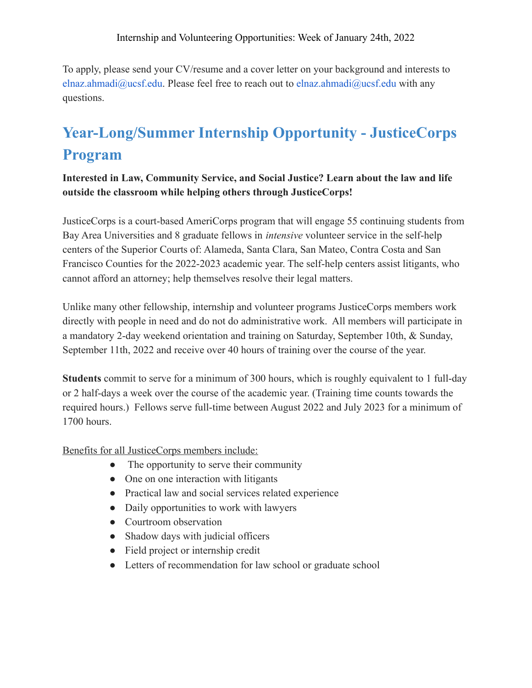To apply, please send your CV/resume and a cover letter on your background and interests to elnaz.ahmadi@ucsf.edu. Please feel free to reach out to elnaz.ahmadi@ucsf.edu with any questions.

# <span id="page-7-0"></span>**Year-Long/Summer Internship Opportunity - JusticeCorps Program**

**Interested in Law, Community Service, and Social Justice? Learn about the law and life outside the classroom while helping others through JusticeCorps!**

JusticeCorps is a court-based AmeriCorps program that will engage 55 continuing students from Bay Area Universities and 8 graduate fellows in *intensive* volunteer service in the self-help centers of the Superior Courts of: Alameda, Santa Clara, San Mateo, Contra Costa and San Francisco Counties for the 2022-2023 academic year. The self-help centers assist litigants, who cannot afford an attorney; help themselves resolve their legal matters.

Unlike many other fellowship, internship and volunteer programs JusticeCorps members work directly with people in need and do not do administrative work. All members will participate in a mandatory 2-day weekend orientation and training on Saturday, September 10th, & Sunday, September 11th, 2022 and receive over 40 hours of training over the course of the year.

**Students** commit to serve for a minimum of 300 hours, which is roughly equivalent to 1 full-day or 2 half-days a week over the course of the academic year. (Training time counts towards the required hours.) Fellows serve full-time between August 2022 and July 2023 for a minimum of 1700 hours.

Benefits for all JusticeCorps members include:

- The opportunity to serve their community
- One on one interaction with litigants
- Practical law and social services related experience
- Daily opportunities to work with lawyers
- Courtroom observation
- Shadow days with judicial officers
- Field project or internship credit
- Letters of recommendation for law school or graduate school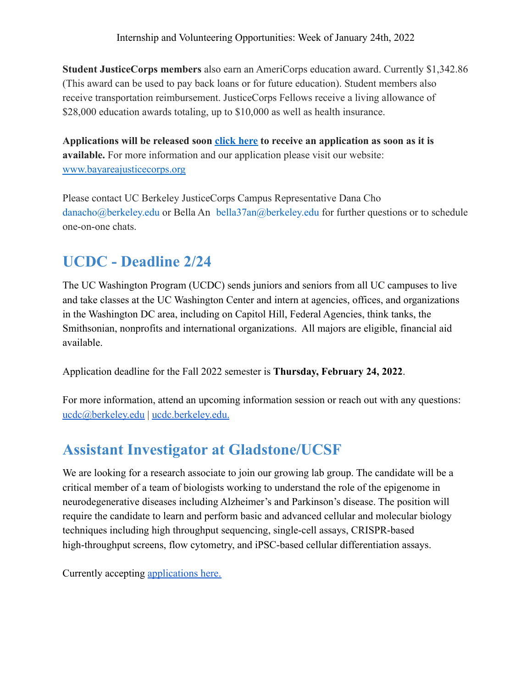**Student JusticeCorps members** also earn an AmeriCorps education award. Currently \$1,342.86 (This award can be used to pay back loans or for future education). Student members also receive transportation reimbursement. JusticeCorps Fellows receive a living allowance of \$28,000 education awards totaling, up to \$10,000 as well as health insurance.

**Applications will be released soon [click here](https://docs.google.com/forms/d/e/1FAIpQLSfngapHjS5ow_q3b7jbpJgrHamIJHkAEjW2bxU4w8NOuiYGhg/viewform?usp=sf_link) to receive an application as soon as it is available.** For more information and our application please visit our website: [www.bayareajusticecorps.org](http://www.bayareajusticecorps.org/)

Please contact UC Berkeley JusticeCorps Campus Representative Dana Cho danacho@berkeley.edu or Bella An bella37an@berkeley.edu for further questions or to schedule one-on-one chats.

# <span id="page-8-0"></span>**UCDC - Deadline 2/24**

The UC Washington Program (UCDC) sends juniors and seniors from all UC campuses to live and take classes at the UC Washington Center and intern at agencies, offices, and organizations in the Washington DC area, including on Capitol Hill, Federal Agencies, think tanks, the Smithsonian, nonprofits and international organizations. All majors are eligible, financial aid available.

Application deadline for the Fall 2022 semester is **Thursday, February 24, 2022**.

For more information, attend an upcoming information session or reach out with any questions: [ucdc@berkeley.edu](mailto:ucdc@berkeley.edu) | ucdc.berkeley.edu.

# <span id="page-8-1"></span>**Assistant Investigator at Gladstone/UCSF**

We are looking for a research associate to join our growing lab group. The candidate will be a critical member of a team of biologists working to understand the role of the epigenome in neurodegenerative diseases including Alzheimer's and Parkinson's disease. The position will require the candidate to learn and perform basic and advanced cellular and molecular biology techniques including high throughput sequencing, single-cell assays, CRISPR-based high-throughput screens, flow cytometry, and iPSC-based cellular differentiation assays.

Currently accepting [applications here.](https://gladstone.wd5.myworkdayjobs.com/careers/job/San-Francisco/Research-Associate-I---Corces-Lab_REQ-1206)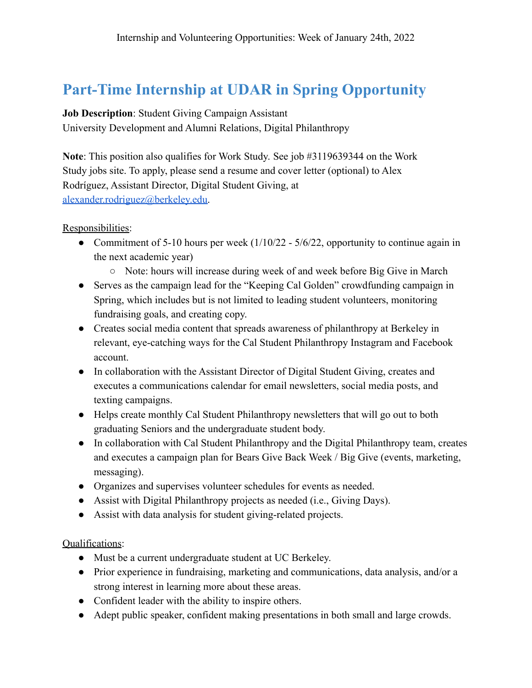### <span id="page-9-0"></span>**Part-Time Internship at UDAR in Spring Opportunity**

**Job Description**: Student Giving Campaign Assistant

University Development and Alumni Relations, Digital Philanthropy

**Note**: This position also qualifies for Work Study. See job #3119639344 on the Work Study jobs site. To apply, please send a resume and cover letter (optional) to Alex Rodríguez, Assistant Director, Digital Student Giving, at [alexander.rodriguez@berkeley.edu.](mailto:alexander.rodriguez@berkeley.edu)

Responsibilities:

- Commitment of 5-10 hours per week  $(1/10/22 5/6/22)$ , opportunity to continue again in the next academic year)
	- Note: hours will increase during week of and week before Big Give in March
- Serves as the campaign lead for the "Keeping Cal Golden" crowdfunding campaign in Spring, which includes but is not limited to leading student volunteers, monitoring fundraising goals, and creating copy.
- Creates social media content that spreads awareness of philanthropy at Berkeley in relevant, eye-catching ways for the Cal Student Philanthropy Instagram and Facebook account.
- In collaboration with the Assistant Director of Digital Student Giving, creates and executes a communications calendar for email newsletters, social media posts, and texting campaigns.
- Helps create monthly Cal Student Philanthropy newsletters that will go out to both graduating Seniors and the undergraduate student body.
- In collaboration with Cal Student Philanthropy and the Digital Philanthropy team, creates and executes a campaign plan for Bears Give Back Week / Big Give (events, marketing, messaging).
- Organizes and supervises volunteer schedules for events as needed.
- Assist with Digital Philanthropy projects as needed (i.e., Giving Days).
- Assist with data analysis for student giving-related projects.

Qualifications:

- Must be a current undergraduate student at UC Berkeley.
- Prior experience in fundraising, marketing and communications, data analysis, and/or a strong interest in learning more about these areas.
- Confident leader with the ability to inspire others.
- Adept public speaker, confident making presentations in both small and large crowds.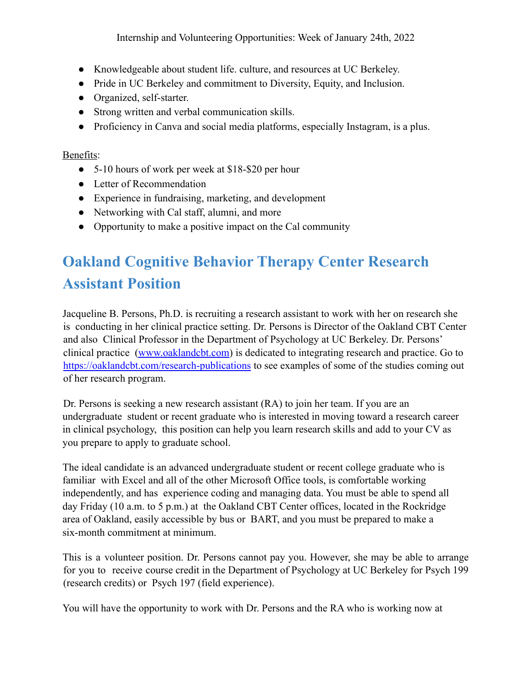- Knowledgeable about student life. culture, and resources at UC Berkeley.
- Pride in UC Berkeley and commitment to Diversity, Equity, and Inclusion.
- Organized, self-starter.
- Strong written and verbal communication skills.
- Proficiency in Canva and social media platforms, especially Instagram, is a plus.

#### Benefits:

- 5-10 hours of work per week at \$18-\$20 per hour
- Letter of Recommendation
- Experience in fundraising, marketing, and development
- Networking with Cal staff, alumni, and more
- Opportunity to make a positive impact on the Cal community

# <span id="page-10-0"></span>**Oakland Cognitive Behavior Therapy Center Research Assistant Position**

Jacqueline B. Persons, Ph.D. is recruiting a research assistant to work with her on research she is conducting in her clinical practice setting. Dr. Persons is Director of the Oakland CBT Center and also Clinical Professor in the Department of Psychology at UC Berkeley. Dr. Persons' clinical practice (www.oaklandcbt.com) is dedicated to integrating research and practice. Go to https://oaklandcbt.com/research-publications to see examples of some of the studies coming out of her research program.

Dr. Persons is seeking a new research assistant (RA) to join her team. If you are an undergraduate student or recent graduate who is interested in moving toward a research career in clinical psychology, this position can help you learn research skills and add to your CV as you prepare to apply to graduate school.

The ideal candidate is an advanced undergraduate student or recent college graduate who is familiar with Excel and all of the other Microsoft Office tools, is comfortable working independently, and has experience coding and managing data. You must be able to spend all day Friday (10 a.m. to 5 p.m.) at the Oakland CBT Center offices, located in the Rockridge area of Oakland, easily accessible by bus or BART, and you must be prepared to make a six-month commitment at minimum.

This is a volunteer position. Dr. Persons cannot pay you. However, she may be able to arrange for you to receive course credit in the Department of Psychology at UC Berkeley for Psych 199 (research credits) or Psych 197 (field experience).

You will have the opportunity to work with Dr. Persons and the RA who is working now at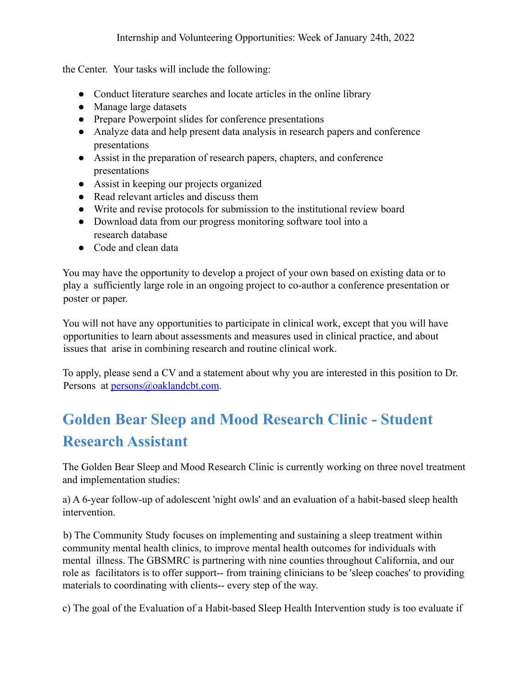the Center. Your tasks will include the following:

- Conduct literature searches and locate articles in the online library
- Manage large datasets
- Prepare Powerpoint slides for conference presentations
- Analyze data and help present data analysis in research papers and conference presentations
- Assist in the preparation of research papers, chapters, and conference presentations
- Assist in keeping our projects organized
- Read relevant articles and discuss them
- Write and revise protocols for submission to the institutional review board
- Download data from our progress monitoring software tool into a research database
- Code and clean data

You may have the opportunity to develop a project of your own based on existing data or to play a sufficiently large role in an ongoing project to co-author a conference presentation or poster or paper.

You will not have any opportunities to participate in clinical work, except that you will have opportunities to learn about assessments and measures used in clinical practice, and about issues that arise in combining research and routine clinical work.

To apply, please send a CV and a statement about why you are interested in this position to Dr. Persons at persons@oaklandcbt.com.

# <span id="page-11-0"></span>**Golden Bear Sleep and Mood Research Clinic - Student Research Assistant**

The Golden Bear Sleep and Mood Research Clinic is currently working on three novel treatment and implementation studies:

a) A 6-year follow-up of adolescent 'night owls' and an evaluation of a habit-based sleep health intervention.

b) The Community Study focuses on implementing and sustaining a sleep treatment within community mental health clinics, to improve mental health outcomes for individuals with mental illness. The GBSMRC is partnering with nine counties throughout California, and our role as facilitators is to offer support-- from training clinicians to be 'sleep coaches' to providing materials to coordinating with clients-- every step of the way.

c) The goal of the Evaluation of a Habit-based Sleep Health Intervention study is too evaluate if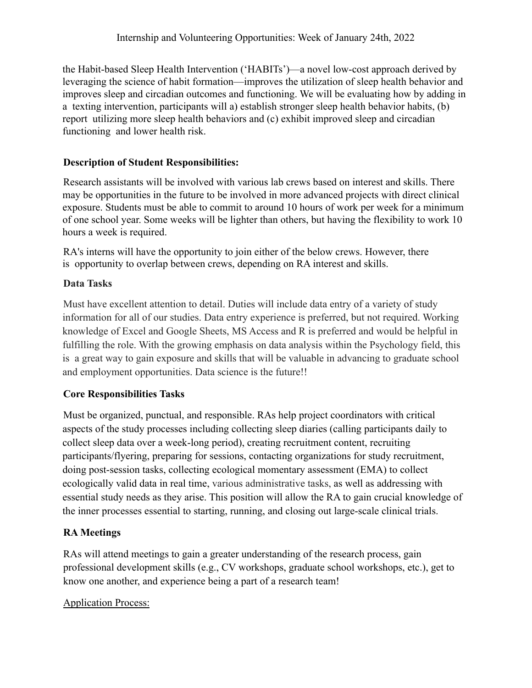the Habit-based Sleep Health Intervention ('HABITs')—a novel low-cost approach derived by leveraging the science of habit formation—improves the utilization of sleep health behavior and improves sleep and circadian outcomes and functioning. We will be evaluating how by adding in a texting intervention, participants will a) establish stronger sleep health behavior habits, (b) report utilizing more sleep health behaviors and (c) exhibit improved sleep and circadian functioning and lower health risk.

#### **Description of Student Responsibilities:**

Research assistants will be involved with various lab crews based on interest and skills. There may be opportunities in the future to be involved in more advanced projects with direct clinical exposure. Students must be able to commit to around 10 hours of work per week for a minimum of one school year. Some weeks will be lighter than others, but having the flexibility to work 10 hours a week is required.

RA's interns will have the opportunity to join either of the below crews. However, there is opportunity to overlap between crews, depending on RA interest and skills.

### **Data Tasks**

Must have excellent attention to detail. Duties will include data entry of a variety of study information for all of our studies. Data entry experience is preferred, but not required. Working knowledge of Excel and Google Sheets, MS Access and R is preferred and would be helpful in fulfilling the role. With the growing emphasis on data analysis within the Psychology field, this is a great way to gain exposure and skills that will be valuable in advancing to graduate school and employment opportunities. Data science is the future!!

### **Core Responsibilities Tasks**

Must be organized, punctual, and responsible. RAs help project coordinators with critical aspects of the study processes including collecting sleep diaries (calling participants daily to collect sleep data over a week-long period), creating recruitment content, recruiting participants/flyering, preparing for sessions, contacting organizations for study recruitment, doing post-session tasks, collecting ecological momentary assessment (EMA) to collect ecologically valid data in real time, various administrative tasks, as well as addressing with essential study needs as they arise. This position will allow the RA to gain crucial knowledge of the inner processes essential to starting, running, and closing out large-scale clinical trials.

### **RA Meetings**

RAs will attend meetings to gain a greater understanding of the research process, gain professional development skills (e.g., CV workshops, graduate school workshops, etc.), get to know one another, and experience being a part of a research team!

#### Application Process: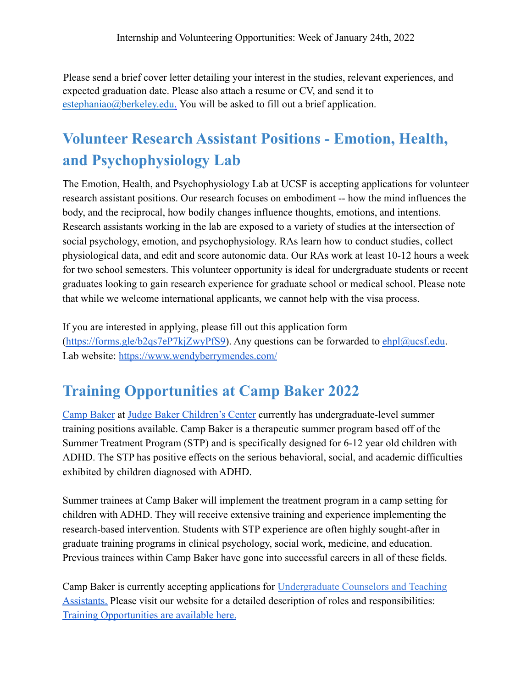Please send a brief cover letter detailing your interest in the studies, relevant experiences, and expected graduation date. Please also attach a resume or CV, and send it to estephaniao@berkeley.edu. You will be asked to fill out a brief application.

# <span id="page-13-0"></span>**Volunteer Research Assistant Positions - Emotion, Health, and Psychophysiology Lab**

The Emotion, Health, and Psychophysiology Lab at UCSF is accepting applications for volunteer research assistant positions. Our research focuses on embodiment -- how the mind influences the body, and the reciprocal, how bodily changes influence thoughts, emotions, and intentions. Research assistants working in the lab are exposed to a variety of studies at the intersection of social psychology, emotion, and psychophysiology. RAs learn how to conduct studies, collect physiological data, and edit and score autonomic data. Our RAs work at least 10-12 hours a week for two school semesters. This volunteer opportunity is ideal for undergraduate students or recent graduates looking to gain research experience for graduate school or medical school. Please note that while we welcome international applicants, we cannot help with the visa process.

If you are interested in applying, please fill out this application form  $(<https://forms.gle/b2qs7eP7kiZwvPfS9>). Any questions can be forwarded to [ehpl@ucsf.edu](mailto:ehpl@ucsf.edu).$  $(<https://forms.gle/b2qs7eP7kiZwvPfS9>). Any questions can be forwarded to [ehpl@ucsf.edu](mailto:ehpl@ucsf.edu).$  $(<https://forms.gle/b2qs7eP7kiZwvPfS9>). Any questions can be forwarded to [ehpl@ucsf.edu](mailto:ehpl@ucsf.edu).$ Lab website: <https://www.wendyberrymendes.com/>

# <span id="page-13-1"></span>**Training Opportunities at Camp Baker 2022**

[Camp Baker](https://r20.rs6.net/tn.jsp?f=0012YIJLmz03tRgxLh2OTyE5FYe_8bN09NenyCn3fj5uI2A9fkIoa-LmnKgxL7g7NXxox63SpdyF_qUIf1fFB9wmzy8SnWgZuSXieuLaFVs0T8LtKS-srilV1ug6vqXI5sttNWcNbTazh4=&c=b_xTGXVoHi9m4rZBS2ArWjE82PoDaBooTbOR-QidFy0xTKD5PEj4-A==&ch=sw0XHjUB6yC3e0e4dx6XeGJe-eS4ptF7HmmTNV5nlX35RxHVC4OjCA==) at [Judge Baker Children's Center](https://r20.rs6.net/tn.jsp?f=0012YIJLmz03tRgxLh2OTyE5FYe_8bN09NenyCn3fj5uI2A9fkIoa-Lmvl5eAgEFFmmk5gEwpOaYu0jdCKcpSnarkTkJ33QKBXRCPfiab9NbpN0E3O2JwtRJS6wSg0OTqAX2ees3JAlwdwxtUcTlGqvJw==&c=b_xTGXVoHi9m4rZBS2ArWjE82PoDaBooTbOR-QidFy0xTKD5PEj4-A==&ch=sw0XHjUB6yC3e0e4dx6XeGJe-eS4ptF7HmmTNV5nlX35RxHVC4OjCA==) currently has undergraduate-level summer training positions available. Camp Baker is a therapeutic summer program based off of the Summer Treatment Program (STP) and is specifically designed for 6-12 year old children with ADHD. The STP has positive effects on the serious behavioral, social, and academic difficulties exhibited by children diagnosed with ADHD.

Summer trainees at Camp Baker will implement the treatment program in a camp setting for children with ADHD. They will receive extensive training and experience implementing the research-based intervention. Students with STP experience are often highly sought-after in graduate training programs in clinical psychology, social work, medicine, and education. Previous trainees within Camp Baker have gone into successful careers in all of these fields.

Camp Baker is currently accepting applications for Undergraduate Counselors and Teaching Assistants. Please visit our website for a detailed description of roles and responsibilities: [Training Opportunities are available here.](https://campbaker.org/training-opportunities/)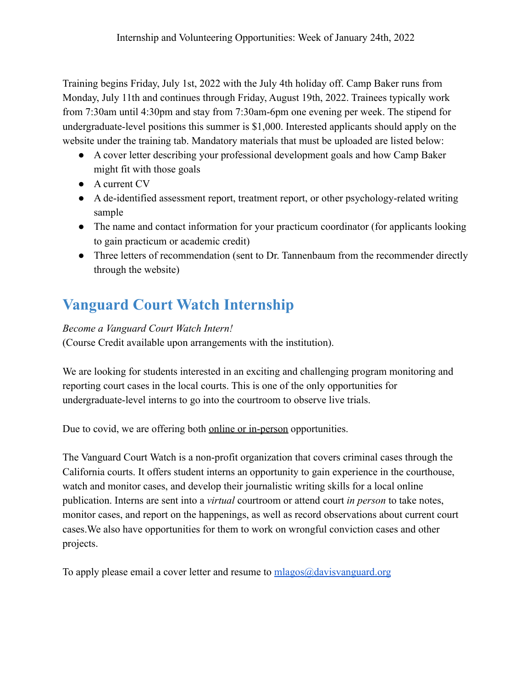Training begins Friday, July 1st, 2022 with the July 4th holiday off. Camp Baker runs from Monday, July 11th and continues through Friday, August 19th, 2022. Trainees typically work from 7:30am until 4:30pm and stay from 7:30am-6pm one evening per week. The stipend for undergraduate-level positions this summer is \$1,000. Interested applicants should apply on the website under the training tab. Mandatory materials that must be uploaded are listed below:

- A cover letter describing your professional development goals and how Camp Baker might fit with those goals
- A current CV
- A de-identified assessment report, treatment report, or other psychology-related writing sample
- The name and contact information for your practicum coordinator (for applicants looking to gain practicum or academic credit)
- Three letters of recommendation (sent to Dr. Tannenbaum from the recommender directly through the website)

# <span id="page-14-0"></span>**Vanguard Court Watch Internship**

### *Become a Vanguard Court Watch Intern!*

(Course Credit available upon arrangements with the institution).

We are looking for students interested in an exciting and challenging program monitoring and reporting court cases in the local courts. This is one of the only opportunities for undergraduate-level interns to go into the courtroom to observe live trials.

Due to covid, we are offering both online or in-person opportunities.

The Vanguard Court Watch is a non-profit organization that covers criminal cases through the California courts. It offers student interns an opportunity to gain experience in the courthouse, watch and monitor cases, and develop their journalistic writing skills for a local online publication. Interns are sent into a *virtual* courtroom or attend court *in person* to take notes, monitor cases, and report on the happenings, as well as record observations about current court cases.We also have opportunities for them to work on wrongful conviction cases and other projects.

To apply please email a cover letter and resume to  $m$ lagos $@$ davisvanguard.org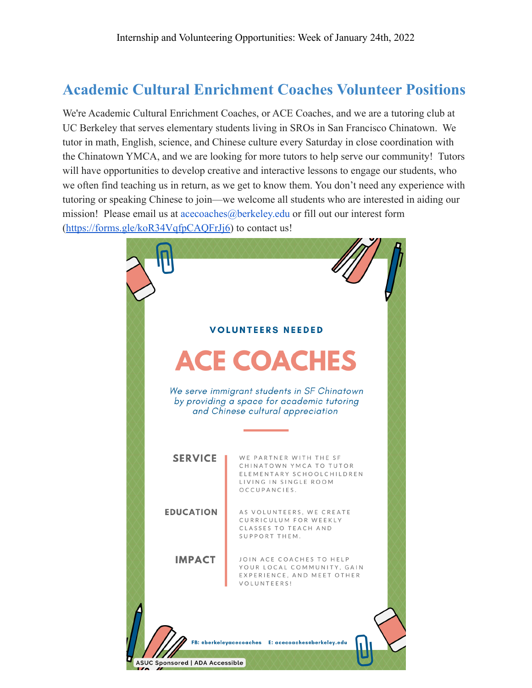### <span id="page-15-0"></span>**Academic Cultural Enrichment Coaches Volunteer Positions**

We're Academic Cultural Enrichment Coaches, or ACE Coaches, and we are a tutoring club at UC Berkeley that serves elementary students living in SROs in San Francisco Chinatown. We tutor in math, English, science, and Chinese culture every Saturday in close coordination with the Chinatown YMCA, and we are looking for more tutors to help serve our community! Tutors will have opportunities to develop creative and interactive lessons to engage our students, who we often find teaching us in return, as we get to know them. You don't need any experience with tutoring or speaking Chinese to join—we welcome all students who are interested in aiding our mission! Please email us at acecoaches@berkeley.edu or fill out our interest form (https://forms.gle/koR34VqfpCAQFrJi6) to contact us!